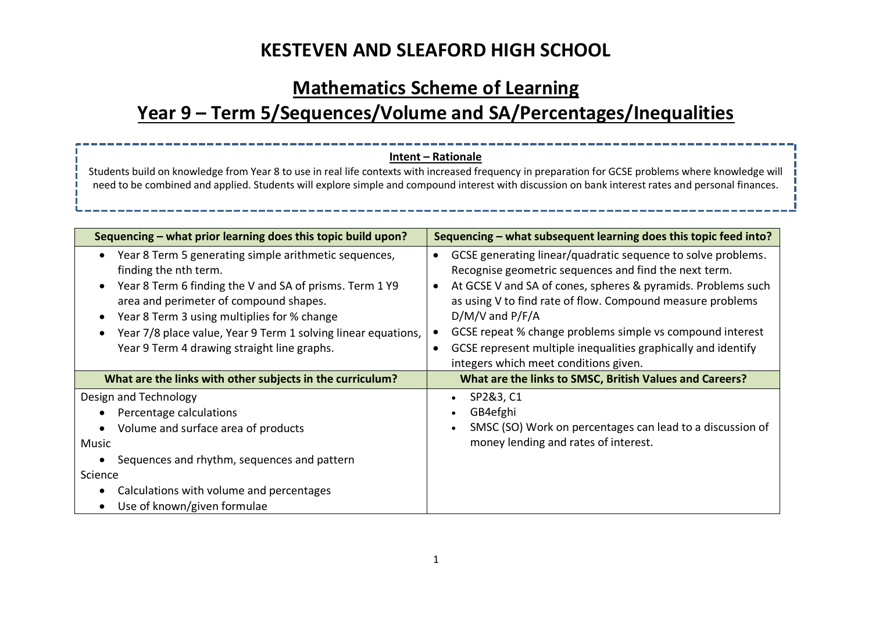## **Mathematics Scheme of Learning**

# **Year 9 – Term 5/Sequences/Volume and SA/Percentages/Inequalities**

### **Intent – Rationale**

Students build on knowledge from Year 8 to use in real life contexts with increased frequency in preparation for GCSE problems where knowledge will need to be combined and applied. Students will explore simple and compound interest with discussion on bank interest rates and personal finances.

| Sequencing – what prior learning does this topic build upon?                                                                                                                                                                                                                                                                                                                                   | Sequencing - what subsequent learning does this topic feed into?                                                                                                                                                                                                                                                                                                                                                                                                                         |  |  |  |
|------------------------------------------------------------------------------------------------------------------------------------------------------------------------------------------------------------------------------------------------------------------------------------------------------------------------------------------------------------------------------------------------|------------------------------------------------------------------------------------------------------------------------------------------------------------------------------------------------------------------------------------------------------------------------------------------------------------------------------------------------------------------------------------------------------------------------------------------------------------------------------------------|--|--|--|
| Year 8 Term 5 generating simple arithmetic sequences,<br>٠<br>finding the nth term.<br>Year 8 Term 6 finding the V and SA of prisms. Term 1 Y9<br>$\bullet$<br>area and perimeter of compound shapes.<br>Year 8 Term 3 using multiplies for % change<br>$\bullet$<br>Year 7/8 place value, Year 9 Term 1 solving linear equations,<br>$\bullet$<br>Year 9 Term 4 drawing straight line graphs. | GCSE generating linear/quadratic sequence to solve problems.<br>$\bullet$<br>Recognise geometric sequences and find the next term.<br>At GCSE V and SA of cones, spheres & pyramids. Problems such<br>as using V to find rate of flow. Compound measure problems<br>$D/M/V$ and $P/F/A$<br>GCSE repeat % change problems simple vs compound interest<br>$\bullet$<br>GCSE represent multiple inequalities graphically and identify<br>$\bullet$<br>integers which meet conditions given. |  |  |  |
| What are the links with other subjects in the curriculum?                                                                                                                                                                                                                                                                                                                                      | What are the links to SMSC, British Values and Careers?                                                                                                                                                                                                                                                                                                                                                                                                                                  |  |  |  |
| Design and Technology<br>Percentage calculations                                                                                                                                                                                                                                                                                                                                               | SP2&3, C1<br>GB4efghi                                                                                                                                                                                                                                                                                                                                                                                                                                                                    |  |  |  |
| Volume and surface area of products                                                                                                                                                                                                                                                                                                                                                            | SMSC (SO) Work on percentages can lead to a discussion of                                                                                                                                                                                                                                                                                                                                                                                                                                |  |  |  |
| Music                                                                                                                                                                                                                                                                                                                                                                                          | money lending and rates of interest.                                                                                                                                                                                                                                                                                                                                                                                                                                                     |  |  |  |
| Sequences and rhythm, sequences and pattern                                                                                                                                                                                                                                                                                                                                                    |                                                                                                                                                                                                                                                                                                                                                                                                                                                                                          |  |  |  |
| Science                                                                                                                                                                                                                                                                                                                                                                                        |                                                                                                                                                                                                                                                                                                                                                                                                                                                                                          |  |  |  |
| Calculations with volume and percentages                                                                                                                                                                                                                                                                                                                                                       |                                                                                                                                                                                                                                                                                                                                                                                                                                                                                          |  |  |  |
| Use of known/given formulae<br>$\bullet$                                                                                                                                                                                                                                                                                                                                                       |                                                                                                                                                                                                                                                                                                                                                                                                                                                                                          |  |  |  |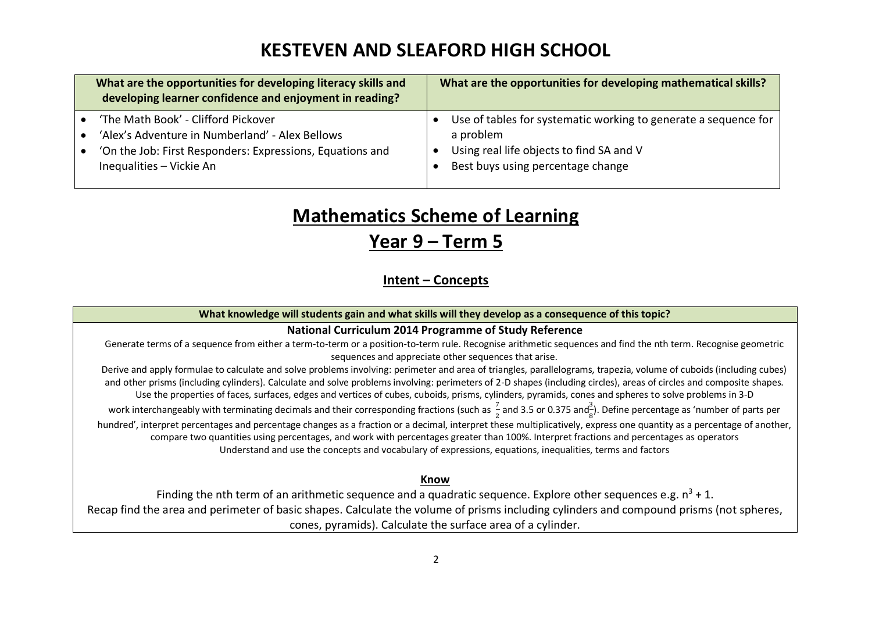| What are the opportunities for developing literacy skills and<br>developing learner confidence and enjoyment in reading?                                                        | What are the opportunities for developing mathematical skills?                                                                                                |
|---------------------------------------------------------------------------------------------------------------------------------------------------------------------------------|---------------------------------------------------------------------------------------------------------------------------------------------------------------|
| 'The Math Book' - Clifford Pickover<br>'Alex's Adventure in Numberland' - Alex Bellows<br>'On the Job: First Responders: Expressions, Equations and<br>Inequalities - Vickie An | Use of tables for systematic working to generate a sequence for<br>a problem<br>Using real life objects to find SA and V<br>Best buys using percentage change |

# **Mathematics Scheme of Learning**

### **Year 9 – Term 5**

**Intent – Concepts**

**What knowledge will students gain and what skills will they develop as a consequence of this topic?**

### **National Curriculum 2014 Programme of Study Reference**

Generate terms of a sequence from either a term-to-term or a position-to-term rule. Recognise arithmetic sequences and find the nth term. Recognise geometric sequences and appreciate other sequences that arise.

Derive and apply formulae to calculate and solve problems involving: perimeter and area of triangles, parallelograms, trapezia, volume of cuboids (including cubes) and other prisms (including cylinders). Calculate and solve problems involving: perimeters of 2-D shapes (including circles), areas of circles and composite shapes. Use the properties of faces, surfaces, edges and vertices of cubes, cuboids, prisms, cylinders, pyramids, cones and spheres to solve problems in 3-D

work interchangeably with terminating decimals and their corresponding fractions (such as  $\frac{7}{2}$  and 3.5 or 0.375 and $\frac{3}{8}$ ). Define percentage as 'number of parts per

hundred', interpret percentages and percentage changes as a fraction or a decimal, interpret these multiplicatively, express one quantity as a percentage of another, compare two quantities using percentages, and work with percentages greater than 100%. Interpret fractions and percentages as operators Understand and use the concepts and vocabulary of expressions, equations, inequalities, terms and factors

#### **Know**

Finding the nth term of an arithmetic sequence and a quadratic sequence. Explore other sequences e.g.  $n^3 + 1$ . Recap find the area and perimeter of basic shapes. Calculate the volume of prisms including cylinders and compound prisms (not spheres, cones, pyramids). Calculate the surface area of a cylinder.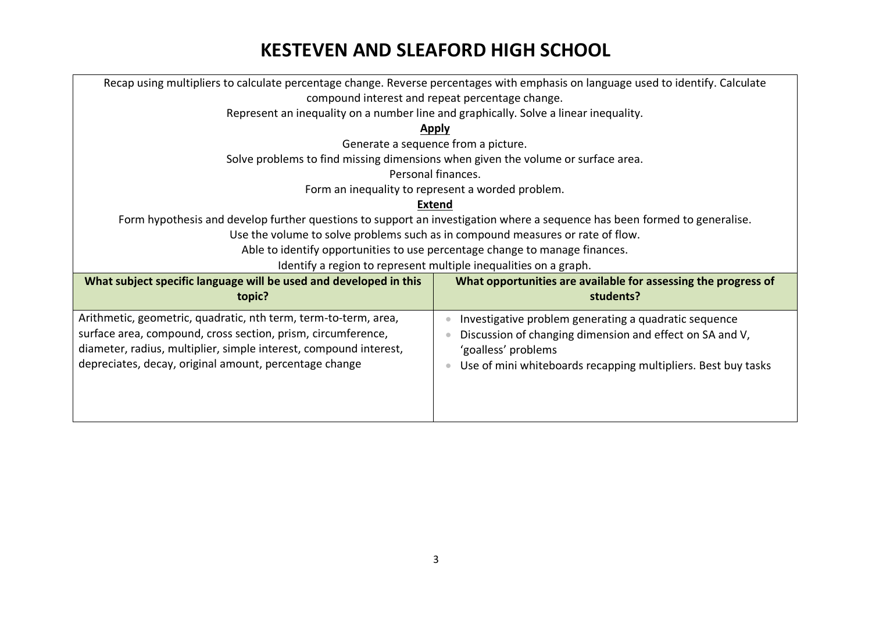| Recap using multipliers to calculate percentage change. Reverse percentages with emphasis on language used to identify. Calculate |                                                                                  |  |  |
|-----------------------------------------------------------------------------------------------------------------------------------|----------------------------------------------------------------------------------|--|--|
| compound interest and repeat percentage change.                                                                                   |                                                                                  |  |  |
| Represent an inequality on a number line and graphically. Solve a linear inequality.                                              |                                                                                  |  |  |
|                                                                                                                                   | <b>Apply</b>                                                                     |  |  |
|                                                                                                                                   | Generate a sequence from a picture.                                              |  |  |
|                                                                                                                                   | Solve problems to find missing dimensions when given the volume or surface area. |  |  |
|                                                                                                                                   | Personal finances.                                                               |  |  |
|                                                                                                                                   | Form an inequality to represent a worded problem.                                |  |  |
|                                                                                                                                   | <b>Extend</b>                                                                    |  |  |
| Form hypothesis and develop further questions to support an investigation where a sequence has been formed to generalise.         |                                                                                  |  |  |
| Use the volume to solve problems such as in compound measures or rate of flow.                                                    |                                                                                  |  |  |
| Able to identify opportunities to use percentage change to manage finances.                                                       |                                                                                  |  |  |
| Identify a region to represent multiple inequalities on a graph.                                                                  |                                                                                  |  |  |
| What subject specific language will be used and developed in this                                                                 | What opportunities are available for assessing the progress of                   |  |  |
| topic?                                                                                                                            | students?                                                                        |  |  |
| Arithmetic, geometric, quadratic, nth term, term-to-term, area,                                                                   | Investigative problem generating a quadratic sequence                            |  |  |
| surface area, compound, cross section, prism, circumference,                                                                      | Discussion of changing dimension and effect on SA and V,                         |  |  |
| diameter, radius, multiplier, simple interest, compound interest,                                                                 | 'goalless' problems                                                              |  |  |
| depreciates, decay, original amount, percentage change                                                                            | Use of mini whiteboards recapping multipliers. Best buy tasks                    |  |  |
|                                                                                                                                   |                                                                                  |  |  |
|                                                                                                                                   |                                                                                  |  |  |
|                                                                                                                                   |                                                                                  |  |  |